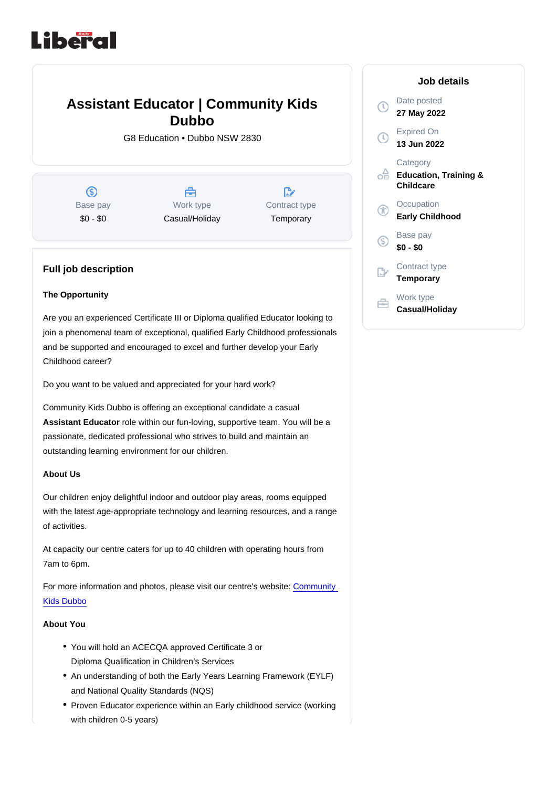# Assistant Educator | Community Kids Dubbo

G8 Education • Dubbo NSW 2830

Base pay \$0 - \$0

Work type Casual/Holiday Contract type **Temporary** 

## Full job description

#### The Opportunity

Are you an experienced Certificate III or Diploma qualified Educator looking to join a phenomenal team of exceptional, qualified Early Childhood professionals and be supported and encouraged to excel and further develop your Early Childhood career?

Do you want to be valued and appreciated for your hard work?

Community Kids Dubbo is offering an exceptional candidate a casual Assistant Educator role within our fun-loving, supportive team. You will be a passionate, dedicated professional who strives to build and maintain an outstanding learning environment for our children.

#### About Us

Our children enjoy delightful indoor and outdoor play areas, rooms equipped with the latest age-appropriate technology and learning resources, and a range of activities.

At capacity our centre caters for up to 40 children with operating hours from 7am to 6pm.

For more information and photos, please visit our centre's website: [Community](https://www.communitykids.com.au/childcare-dubbo)  [Kids Dubbo](https://www.communitykids.com.au/childcare-dubbo)

About You

- You will hold an ACECQA approved Certificate 3 or Diploma Qualification in Children's Services
- An understanding of both the Early Years Learning Framework (EYLF) and National Quality Standards (NQS)
- Proven Educator experience within an Early childhood service (working with children 0-5 years)

#### Job details

Date posted 27 May 2022

Expired On 13 Jun 2022

**Category** Education, Training & **Childcare** 

**Occupation** Early Childhood

Base pay \$0 - \$0

Contract type **Temporary** 

Work type Casual/Holiday